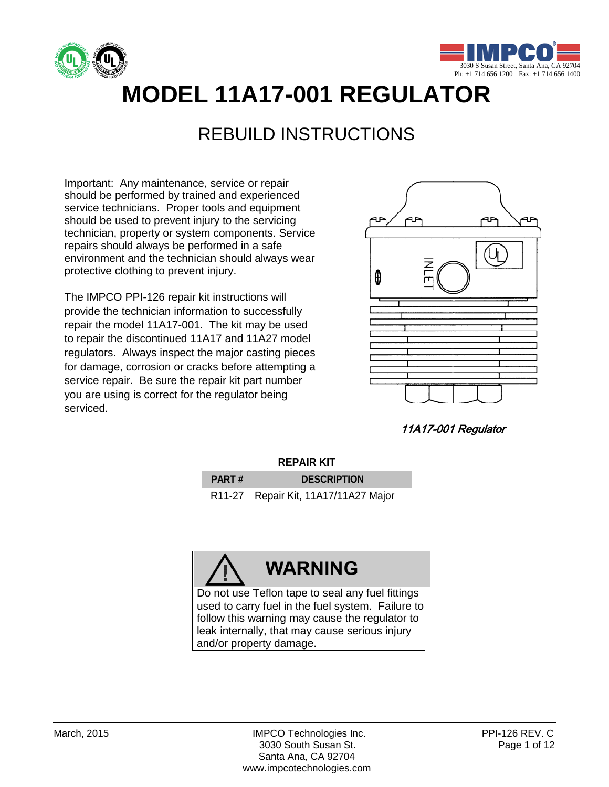



# **MODEL 11A17-001 REGULATOR**

### REBUILD INSTRUCTIONS

Important: Any maintenance, service or repair should be performed by trained and experienced service technicians. Proper tools and equipment should be used to prevent injury to the servicing technician, property or system components. Service repairs should always be performed in a safe environment and the technician should always wear protective clothing to prevent injury.

The IMPCO PPI-126 repair kit instructions will provide the technician information to successfully repair the model 11A17-001. The kit may be used to repair the discontinued 11A17 and 11A27 model regulators. Always inspect the major casting pieces for damage, corrosion or cracks before attempting a service repair. Be sure the repair kit part number you are using is correct for the regulator being serviced.



11A17-001 Regulator

| <b>REPAIR KIT</b> |  |
|-------------------|--|
|-------------------|--|

| <b>PART#</b> | <b>DESCRIPTION</b>                   |
|--------------|--------------------------------------|
|              | R11-27 Repair Kit, 11A17/11A27 Major |

# **WARNING**

Do not use Teflon tape to seal any fuel fittings used to carry fuel in the fuel system. Failure to follow this warning may cause the regulator to leak internally, that may cause serious injury and/or property damage.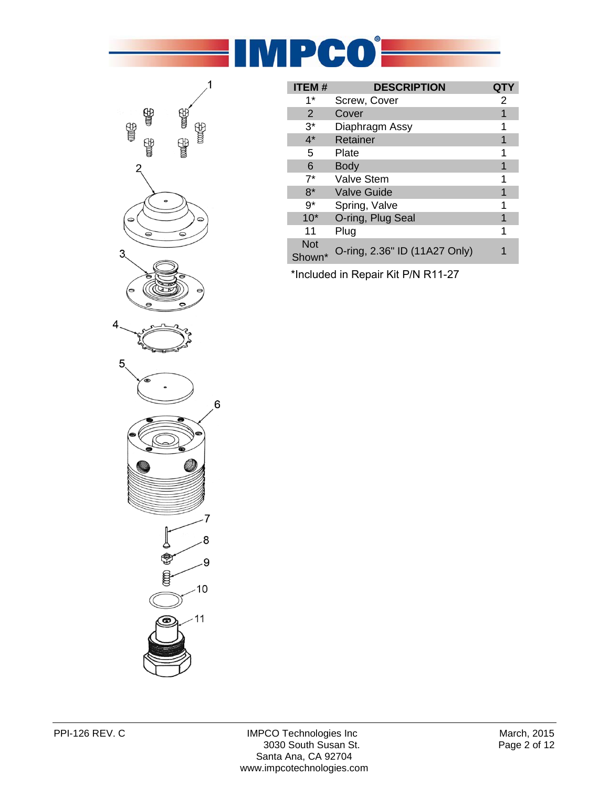



| <b>ITEM#</b>         | <b>DESCRIPTION</b>            |   |
|----------------------|-------------------------------|---|
| 1*                   | Screw, Cover                  | 2 |
| 2                    | Cover                         |   |
| $3^*$                | Diaphragm Assy                |   |
| $4^*$                | Retainer                      |   |
| 5                    | Plate                         | 1 |
| 6                    | <b>Body</b>                   |   |
| $7^*$                | <b>Valve Stem</b>             | 1 |
| $8*$                 | <b>Valve Guide</b>            |   |
| g*                   | Spring, Valve                 |   |
| $10*$                | O-ring, Plug Seal             |   |
| 11                   | Plug                          |   |
| <b>Not</b><br>Shown* | O-ring, 2.36" ID (11A27 Only) |   |

\* Included in Repair Kit P/N R11-27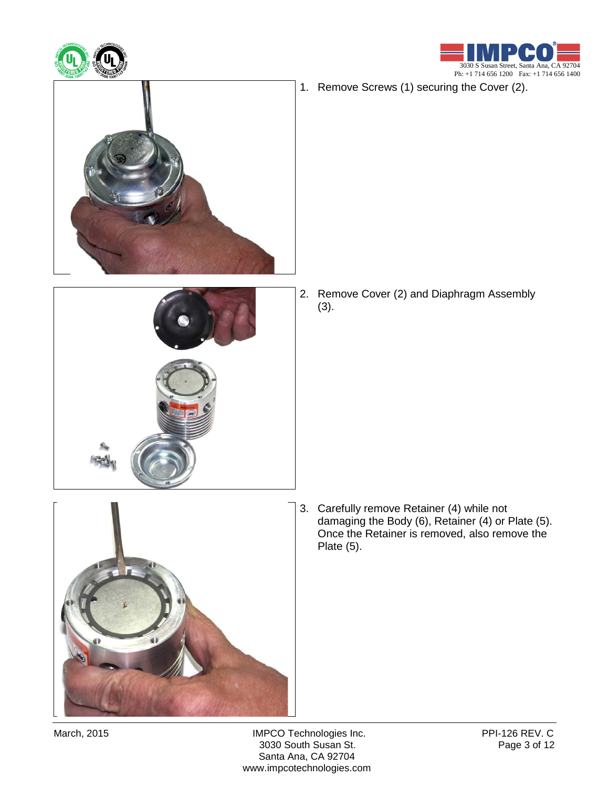



1. Remove Screws (1) securing the Cover (2).



2. Remove Cover (2) and Diaphragm Assembly (3).

- - 3. Carefully remove Retainer (4) while not damaging the Body (6), Retainer (4) or Plate (5). Once the Retainer is removed, also remove the Plate (5).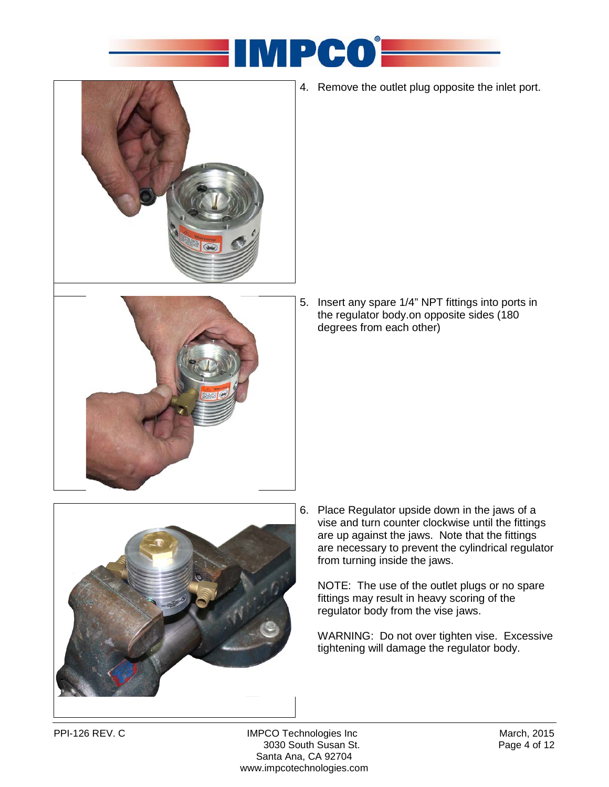



4. Remove the outlet plug opposite the inlet port.

5. Insert any spare 1/4" NPT fittings into ports in the regulator body.on opposite sides (180 degrees from each other)



6. Place Regulator upside down in the jaws of a vise and turn counter clockwise until the fittings are up against the jaws. Note that the fittings are necessary to prevent the cylindrical regulator from turning inside the jaws.

NOTE: The use of the outlet plugs or no spare fittings may result in heavy scoring of the regulator body from the vise jaws.

WARNING: Do not over tighten vise. Excessive tightening will damage the regulator body.

PPI-126 REV. C MPCO Technologies Inc Controller March, 2015<br>3030 South Susan St. Page 4 of 12 3030 South Susan St. Santa Ana, CA 92704 www.impcotechnologies.com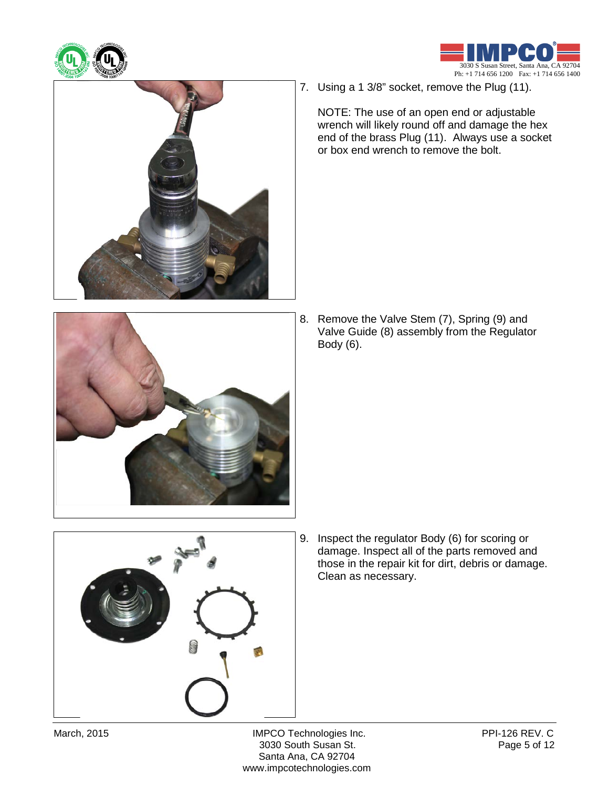





7. Using a 1 3/8" socket, remove the Plug (11).

NOTE: The use of an open end or adjustable wrench will likely round off and damage the hex end of the brass Plug (11). Always use a socket or box end wrench to remove the bolt.



8. Remove the Valve Stem (7), Spring (9) and Valve Guide (8) assembly from the Regulator Body (6).



9. Inspect the regulator Body (6) for scoring or damage. Inspect all of the parts removed and those in the repair kit for dirt, debris or damage. Clean as necessary.

March, 2015 **IMPCO Technologies Inc.** PPI-126 REV. C<br>3030 South Susan St. Page 5 of 12 3030 South Susan St. Santa Ana, CA 92704 www.impcotechnologies.com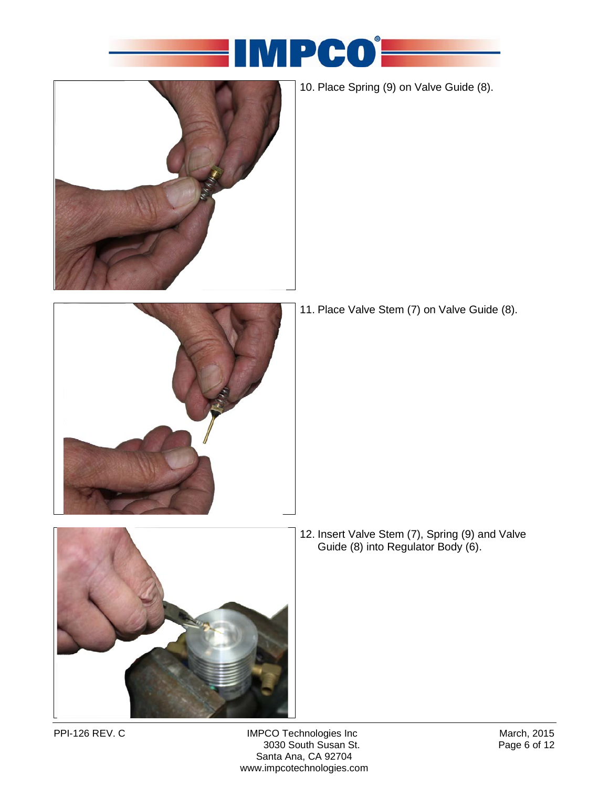



10. Place Spring (9) on Valve Guide (8).



11. Place Valve Stem (7) on Valve Guide (8).



12. Insert Valve Stem (7), Spring (9) and Valve Guide (8) into Regulator Body (6).

PPI-126 REV. C IMPCO Technologies Inc March, 2015 3030 South Susan St. Santa Ana, CA 92704 www.impcotechnologies.com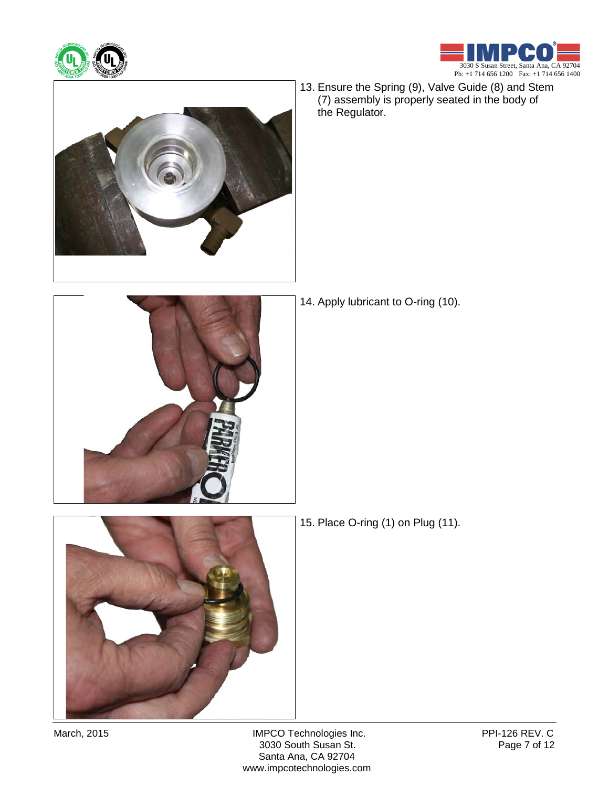





13. Ensure the Spring (9), Valve Guide (8) and Stem (7) assembly is properly seated in the body of the Regulator.



14. Apply lubricant to O-ring (10).



15. Place O-ring (1) on Plug (11).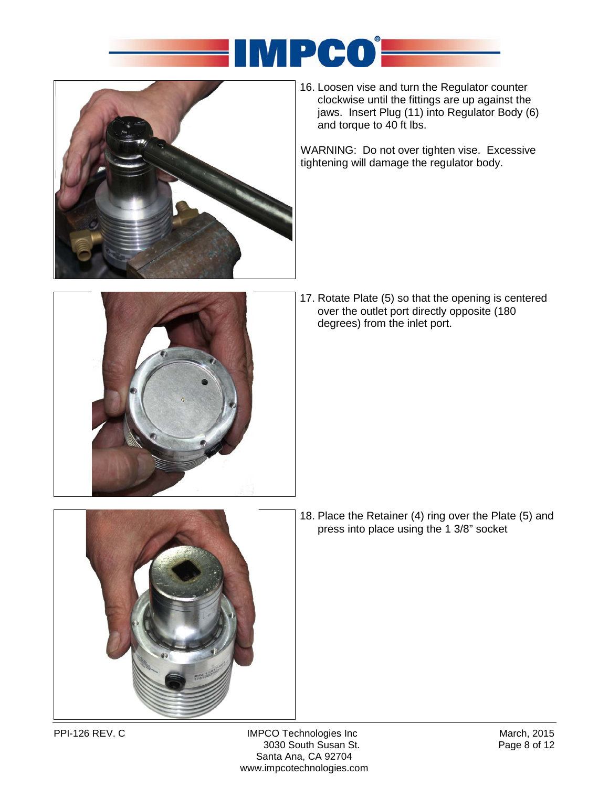



16. Loosen vise and turn the Regulator counter clockwise until the fittings are up against the jaws. Insert Plug (11) into Regulator Body (6) and torque to 40 ft lbs.

WARNING: Do not over tighten vise. Excessive tightening will damage the regulator body.



17. Rotate Plate (5) so that the opening is centered over the outlet port directly opposite (180 degrees) from the inlet port.



18. Place the Retainer (4) ring over the Plate (5) and press into place using the 1 3/8" socket

PPI-126 REV. C IMPCO Technologies Inc March, 2015 3030 South Susan St. Santa Ana, CA 92704 www.impcotechnologies.com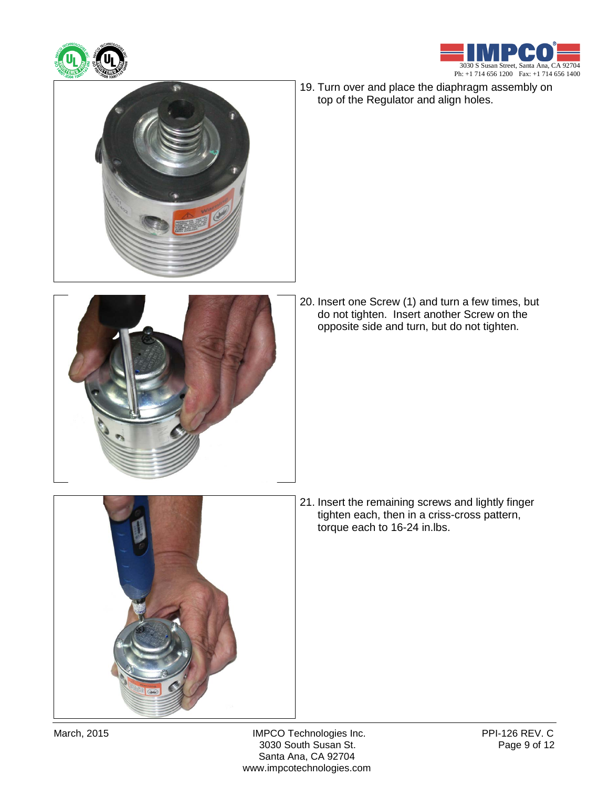





19. Turn over and place the diaphragm assembly on top of the Regulator and align holes.



20. Insert one Screw (1) and turn a few times, but do not tighten. Insert another Screw on the opposite side and turn, but do not tighten.

- 
- 21. Insert the remaining screws and lightly finger tighten each, then in a criss-cross pattern, torque each to 16-24 in.lbs.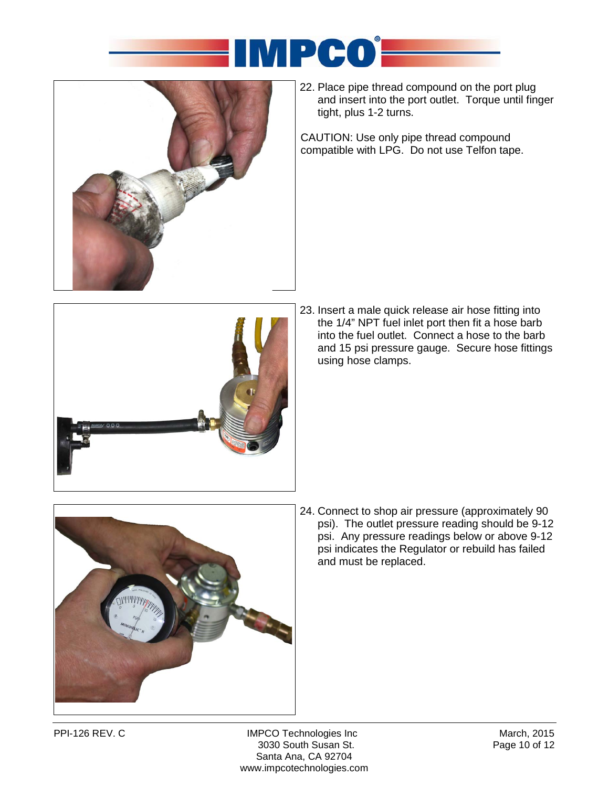



22. Place pipe thread compound on the port plug and insert into the port outlet. Torque until finger tight, plus 1-2 turns.

CAUTION: Use only pipe thread compound compatible with LPG. Do not use Telfon tape.



23. Insert a male quick release air hose fitting into the 1/4" NPT fuel inlet port then fit a hose barb into the fuel outlet. Connect a hose to the barb and 15 psi pressure gauge. Secure hose fittings using hose clamps.



24. Connect to shop air pressure (approximately 90 psi). The outlet pressure reading should be 9-12 psi. Any pressure readings below or above 9-12 psi indicates the Regulator or rebuild has failed and must be replaced.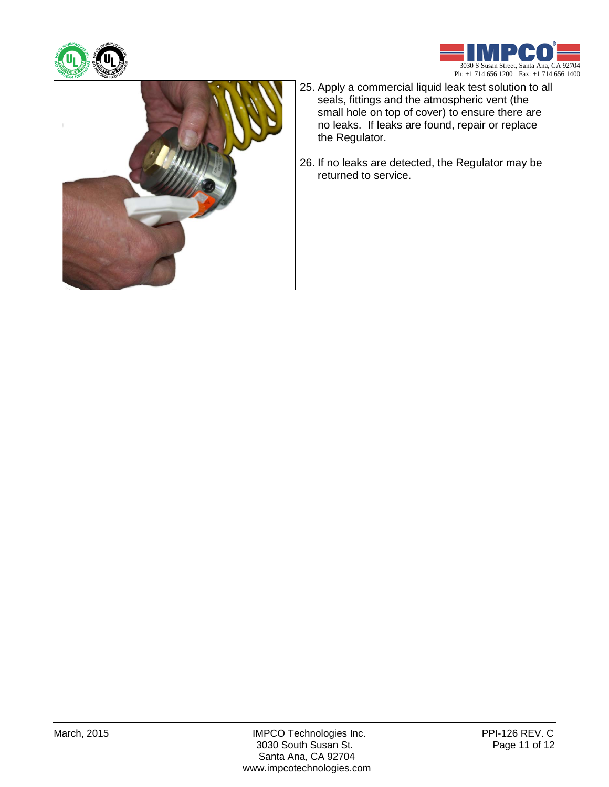





- 25. Apply a commercial liquid leak test solution to all seals, fittings and the atmospheric vent (the small hole on top of cover) to ensure there are no leaks. If leaks are found, repair or replace the Regulator.
- 26. If no leaks are detected, the Regulator may be returned to service.